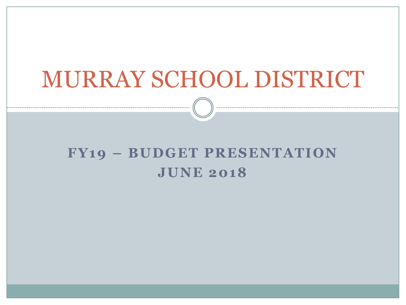# MURRAY SCHOOL DISTRICT

#### **FY19 – BUDGET PRESENTATION JUNE 2018**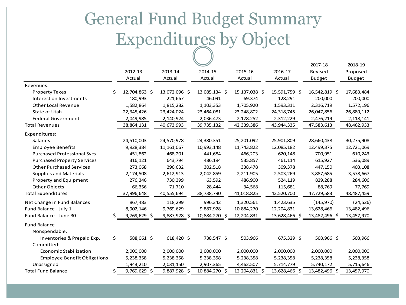## General Fund Budget Summary Expenditures by Object

|                                     |    |                |                |               |               |               | 2017-18       | 2018-19       |
|-------------------------------------|----|----------------|----------------|---------------|---------------|---------------|---------------|---------------|
|                                     |    | 2012-13        | 2013-14        | 2014-15       | 2015-16       | 2016-17       | Revised       | Proposed      |
|                                     |    | Actual         | Actual         | Actual        | Actual        | Actual        | <b>Budget</b> | <b>Budget</b> |
| Revenues:                           |    |                |                |               |               |               |               |               |
| <b>Property Taxes</b>               | \$ | 12,704,863 \$  | 13,072,096 \$  | 13,085,134 \$ | 15,137,038 \$ | 15,591,759 \$ | 16,542,819 \$ | 17,683,484    |
| Interest on Investments             |    | 180,993        | 221,667        | 46,091        | 69,374        | 128,291       | 200,000       | 200,000       |
| Other Local Revenue                 |    | 1,582,864      | 1,815,282      | 1,103,353     | 1,705,920     | 1,593,311     | 2,316,719     | 1,572,196     |
| State of Utah                       |    | 22,345,426     | 23,424,024     | 23,464,081    | 23,248,802    | 24,318,745    | 26,047,856    | 26,889,112    |
| <b>Federal Government</b>           |    | 2,049,985      | 2,140,924      | 2,036,473     | 2,178,252     | 2,312,229     | 2,476,219     | 2,118,141     |
| <b>Total Revenues</b>               |    | 38,864,131     | 40,673,993     | 39,735,132    | 42,339,386    | 43,944,335    | 47,583,613    | 48,462,933    |
| Expenditures:                       |    |                |                |               |               |               |               |               |
| <b>Salaries</b>                     |    | 24,510,003     | 24,570,978     | 24,380,351    | 25,201,092    | 25,901,809    | 28,660,438    | 30,275,908    |
| <b>Employee Benefits</b>            |    | 9,928,384      | 11,161,067     | 10,993,148    | 11,743,822    | 12,085,182    | 12,499,375    | 12,721,069    |
| <b>Purchased Professional Svcs</b>  |    | 451,862        | 468,201        | 441,684       | 466,203       | 620,148       | 700,951       | 610,243       |
| <b>Purchased Property Services</b>  |    | 316,121        | 643,794        | 486,194       | 535,857       | 461,114       | 615,927       | 536,089       |
| <b>Other Purchased Services</b>     |    | 273,068        | 296,632        | 302,518       | 338,478       | 309,378       | 447,150       | 403,108       |
| <b>Supplies and Materials</b>       |    | 2,174,508      | 2,612,913      | 2,042,859     | 2,211,905     | 2,503,269     | 3,887,685     | 3,578,667     |
| Property and Equipment              |    | 276,346        | 730,399        | 63,592        | 486,900       | 524,119       | 829,288       | 284,606       |
| Other Objects                       |    | 66,356         | 71,710         | 28,444        | 34,568        | 115,681       | 88,769        | 77,769        |
| <b>Total Expenditures</b>           |    | 37,996,648     | 40,555,694     | 38,738,790    | 41,018,825    | 42,520,700    | 47,729,583    | 48,487,459    |
| Net Change in Fund Balances         |    | 867,483        | 118,299        | 996,342       | 1,320,561     | 1,423,635     | (145, 970)    | (24, 526)     |
| Fund Balance - July 1               |    | 8,902,146      | 9,769,629      | 9,887,928     | 10,884,270    | 12,204,831    | 13,628,466    | 13,482,496    |
| Fund Balance - June 30              |    | $9,769,629$ \$ | $9,887,928$ \$ | 10,884,270 \$ | 12,204,831    | 13,628,466 \$ | 13,482,496 \$ | 13,457,970    |
| <b>Fund Balance</b>                 |    |                |                |               |               |               |               |               |
| Nonspendable:                       |    |                |                |               |               |               |               |               |
| Inventories & Prepaid Exp.          | \$ | 588,061 \$     | 618,420 \$     | 738,547 \$    | 503,966       | 675,329 \$    | 503,966 \$    | 503,966       |
| Committed:                          |    |                |                |               |               |               |               |               |
| Economic Stabilization              |    | 2,000,000      | 2,000,000      | 2,000,000     | 2,000,000     | 2,000,000     | 2,000,000     | 2,000,000     |
| <b>Employee Benefit Obligations</b> |    | 5,238,358      | 5,238,358      | 5,238,358     | 5,238,358     | 5,238,358     | 5,238,358     | 5,238,358     |
| Unassigned                          |    | 1,943,210      | 2,031,150      | 2,907,365     | 4,462,507     | 5,714,779     | 5,740,172     | 5,715,646     |
| <b>Total Fund Balance</b>           | Ś  | 9,769,629 \$   | 9,887,928 \$   | 10,884,270 \$ | 12,204,831 \$ | 13,628,466 \$ | 13,482,496 \$ | 13,457,970    |
|                                     |    |                |                |               |               |               |               |               |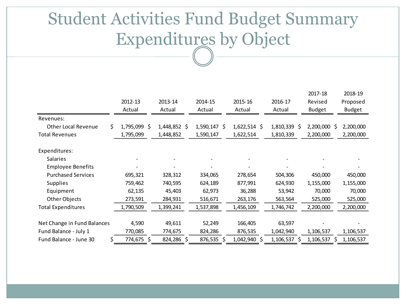#### Student Activities Fund Budget Summary Expenditures by Object

|                                   |              |              |                |                |                 | 2017-18        | 2018-19       |
|-----------------------------------|--------------|--------------|----------------|----------------|-----------------|----------------|---------------|
|                                   | 2012-13      | 2013-14      | 2014-15        | 2015-16        | 2016-17         | Revised        | Proposed      |
|                                   | Actual       | Actual       | Actual         | Actual         | Actual          | <b>Budget</b>  | <b>Budget</b> |
| Revenues:                         |              |              |                |                |                 |                |               |
| <b>Other Local Revenue</b><br>\$. | 1,795,099 \$ | 1,448,852 \$ | $1,590,147$ \$ | $1,622,514$ \$ | $1,810,339$ \$  | $2,200,000$ \$ | 2,200,000     |
| <b>Total Revenues</b>             | 1,795,099    | 1,448,852    | 1,590,147      | 1,622,514      | 1,810,339       | 2,200,000      | 2,200,000     |
| Expenditures:                     |              |              |                |                |                 |                |               |
| Salaries                          |              |              |                |                |                 |                |               |
| <b>Employee Benefits</b>          |              |              |                |                |                 |                |               |
| <b>Purchased Services</b>         | 695,321      | 328,312      | 334,065        | 278,654        | 504,306         | 450,000        | 450,000       |
| <b>Supplies</b>                   | 759,462      | 740,595      | 624,189        | 877,991        | 624,930         | 1,155,000      | 1,155,000     |
| Equipment                         | 62,135       | 45,403       | 62,973         | 36,288         | 53,942          | 70,000         | 70,000        |
| Other Objects                     | 273,591      | 284,931      | 516,671        | 263,176        | 563,564         | 525,000        | 525,000       |
| <b>Total Expenditures</b>         | 1,790,509    | 1,399,241    | 1,537,898      | 1,456,109      | 1,746,742       | 2,200,000      | 2,200,000     |
|                                   |              |              |                |                |                 |                |               |
| Net Change in Fund Balances       | 4,590        | 49,611       | 52,249         | 166,405        | 63,597          |                |               |
| Fund Balance - July 1             | 770,085      | 774,675      | 824,286        | 876,535        | 1,042,940       | 1,106,537      | 1,106,537     |
| Fund Balance - June 30<br>\$      | 774,675 \$   | 824,286 \$   | 876,535 \$     | 1,042,940 \$   | 1,106,537<br>-S | 1,106,537<br>S | 1,106,537     |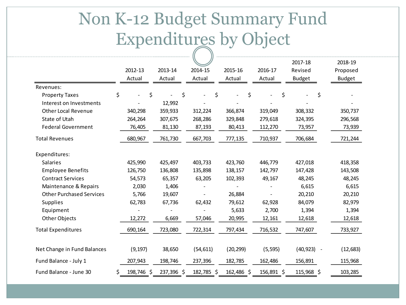### Non K-12 Budget Summary Fund Expenditures by Object

|                                 |                  |            |            |            |            | 2017-18       | 2018-19       |
|---------------------------------|------------------|------------|------------|------------|------------|---------------|---------------|
|                                 | 2012-13          | 2013-14    | 2014-15    | 2015-16    | 2016-17    | Revised       | Proposed      |
|                                 | Actual           | Actual     | Actual     | Actual     | Actual     | <b>Budget</b> | <b>Budget</b> |
| Revenues:                       |                  |            |            |            |            |               |               |
| <b>Property Taxes</b>           | \$               | \$<br>\$   | \$         |            | \$         | \$<br>\$      |               |
| Interest on Investments         |                  | 12,992     |            |            |            |               |               |
| <b>Other Local Revenue</b>      | 340,298          | 359,933    | 312,224    | 366,874    | 319,049    | 308,332       | 350,737       |
| State of Utah                   | 264,264          | 307,675    | 268,286    | 329,848    | 279,618    | 324,395       | 296,568       |
| <b>Federal Government</b>       | 76,405           | 81,130     | 87,193     | 80,413     | 112,270    | 73,957        | 73,939        |
| <b>Total Revenues</b>           | 680,967          | 761,730    | 667,703    | 777,135    | 710,937    | 706,684       | 721,244       |
| Expenditures:                   |                  |            |            |            |            |               |               |
| Salaries                        | 425,990          | 425,497    | 403,733    | 423,760    | 446,779    | 427,018       | 418,358       |
| <b>Employee Benefits</b>        | 126,750          | 136,808    | 135,898    | 138,157    | 142,797    | 147,428       | 143,508       |
| <b>Contract Services</b>        | 54,573           | 65,357     | 63,205     | 102,393    | 49,167     | 48,245        | 48,245        |
| Maintenance & Repairs           | 2,030            | 1,406      |            |            |            | 6,615         | 6,615         |
| <b>Other Purchased Services</b> | 5,766            | 19,607     |            | 26,884     |            | 20,210        | 20,210        |
| Supplies                        | 62,783           | 67,736     | 62,432     | 79,612     | 62,928     | 84,079        | 82,979        |
| Equipment                       |                  |            |            | 5,633      | 2,700      | 1,394         | 1,394         |
| Other Objects                   | 12,272           | 6,669      | 57,046     | 20,995     | 12,161     | 12,618        | 12,618        |
| <b>Total Expenditures</b>       | 690,164          | 723,080    | 722,314    | 797,434    | 716,532    | 747,607       | 733,927       |
| Net Change in Fund Balances     | (9, 197)         | 38,650     | (54, 611)  | (20, 299)  | (5, 595)   | $(40, 923) -$ | (12, 683)     |
| Fund Balance - July 1           | 207,943          | 198,746    | 237,396    | 182,785    | 162,486    | 156,891       | 115,968       |
| Fund Balance - June 30          | \$<br>198,746 \$ | 237,396 \$ | 182,785 \$ | 162,486 \$ | 156,891 \$ | 115,968 \$    | 103,285       |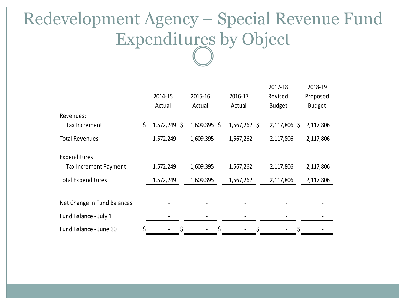#### Redevelopment Agency – Special Revenue Fund Expenditures by Object

|                              |                       |                |                | 2017-18       | 2018-19       |
|------------------------------|-----------------------|----------------|----------------|---------------|---------------|
|                              | 2014-15               | 2015-16        | 2016-17        | Revised       | Proposed      |
|                              | Actual                | Actual         | Actual         | <b>Budget</b> | <b>Budget</b> |
| Revenues:                    |                       |                |                |               |               |
| Tax Increment                | \$<br>1,572,249<br>\$ | $1,609,395$ \$ | $1,567,262$ \$ | 2,117,806 \$  | 2,117,806     |
| <b>Total Revenues</b>        | 1,572,249             | 1,609,395      | 1,567,262      | 2,117,806     | 2,117,806     |
| Expenditures:                |                       |                |                |               |               |
| <b>Tax Increment Payment</b> | 1,572,249             | 1,609,395      | 1,567,262      | 2,117,806     | 2,117,806     |
| <b>Total Expenditures</b>    | 1,572,249             | 1,609,395      | 1,567,262      | 2,117,806     | 2,117,806     |
| Net Change in Fund Balances  |                       |                |                |               |               |
| Fund Balance - July 1        |                       |                |                |               |               |
| Fund Balance - June 30       | \$<br>\$              | \$             | \$             | \$            |               |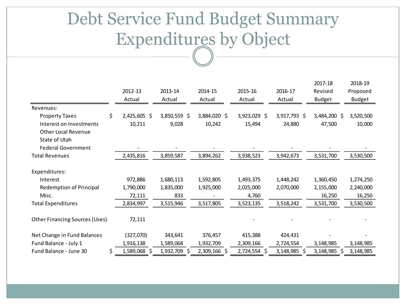#### Debt Service Fund Budget Summary Expenditures by Object

|                                |    |              |              |              |              |                 | 2017-18         | 2018-19       |
|--------------------------------|----|--------------|--------------|--------------|--------------|-----------------|-----------------|---------------|
|                                |    | 2012-13      | 2013-14      | 2014-15      | 2015-16      | 2016-17         | Revised         | Proposed      |
|                                |    | Actual       | Actual       | Actual       | Actual       | Actual          | <b>Budget</b>   | <b>Budget</b> |
| Revenues:                      |    |              |              |              |              |                 |                 |               |
| <b>Property Taxes</b>          | \$ | 2,425,605 \$ | 3,850,559 \$ | 3,884,020 \$ | 3,923,029 \$ | 3,917,793 \$    | 3,484,200 \$    | 3,520,500     |
| Interest on Investments        |    | 10,211       | 9,028        | 10,242       | 15,494       | 24,880          | 47,500          | 10,000        |
| <b>Other Local Revenue</b>     |    |              |              |              |              |                 |                 |               |
| State of Utah                  |    |              |              |              |              |                 |                 |               |
| <b>Federal Government</b>      |    |              |              |              |              |                 |                 |               |
| <b>Total Revenues</b>          |    | 2,435,816    | 3,859,587    | 3,894,262    | 3,938,523    | 3,942,673       | 3,531,700       | 3,530,500     |
|                                |    |              |              |              |              |                 |                 |               |
| Expenditures:                  |    |              |              |              |              |                 |                 |               |
| Interest                       |    | 972,886      | 1,680,113    | 1,592,805    | 1,493,375    | 1,448,242       | 1,360,450       | 1,274,250     |
| <b>Redemption of Principal</b> |    | 1,790,000    | 1,835,000    | 1,925,000    | 2,025,000    | 2,070,000       | 2,155,000       | 2,240,000     |
| Misc.                          |    | 72,111       | 833          |              | 4,760        |                 | 16,250          | 16,250        |
| <b>Total Expenditures</b>      |    | 2,834,997    | 3,515,946    | 3,517,805    | 3,523,135    | 3,518,242       | 3,531,700       | 3,530,500     |
|                                |    |              |              |              |              |                 |                 |               |
| Other Financing Sources (Uses) |    | 72,111       |              |              |              |                 |                 |               |
|                                |    |              |              |              |              |                 |                 |               |
| Net Change in Fund Balances    |    | (327,070)    | 343,641      | 376,457      | 415,388      | 424,431         |                 |               |
| Fund Balance - July 1          |    | 1,916,138    | 1,589,068    | 1,932,709    | 2,309,166    | 2,724,554       | 3,148,985       | 3,148,985     |
| Fund Balance - June 30         | S  | 1,589,068 \$ | 1,932,709 \$ | 2,309,166 \$ | 2,724,554 \$ | 3,148,985<br>Ŝ. | 3,148,985<br>-Ś | 3,148,985     |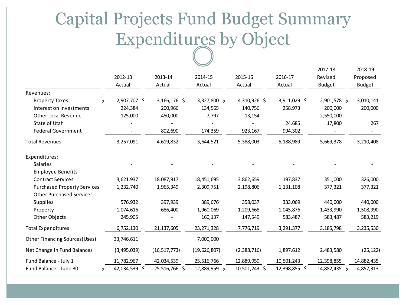#### Capital Projects Fund Budget Summary Expenditures by Object

|                                       |                    |                |               |               |               | 2017-18       | 2018-19       |
|---------------------------------------|--------------------|----------------|---------------|---------------|---------------|---------------|---------------|
|                                       | 2012-13            | 2013-14        | 2014-15       | 2015-16       | 2016-17       | Revised       | Proposed      |
|                                       | Actual             | Actual         | Actual        | Actual        | Actual        | <b>Budget</b> | <b>Budget</b> |
| Revenues:                             |                    |                |               |               |               |               |               |
| <b>Property Taxes</b>                 | \$<br>2,907,707 \$ | 3,166,176 \$   | 3,327,800 \$  | 4,310,926 \$  | 3,911,029 \$  | 2,901,578 \$  | 3,010,141     |
| Interest on Investments               | 224,384            | 200,966        | 134,565       | 140,756       | 258,973       | 200,000       | 200,000       |
| <b>Other Local Revenue</b>            | 125,000            | 450,000        | 7,797         | 13,154        |               | 2,550,000     |               |
| State of Utah                         |                    |                |               |               | 24,685        | 17,800        | 267           |
| <b>Federal Government</b>             |                    | 802,690        | 174,359       | 923,167       | 994,302       |               |               |
| <b>Total Revenues</b>                 | 3,257,091          | 4,619,832      | 3,644,521     | 5,388,003     | 5,188,989     | 5,669,378     | 3,210,408     |
| Expenditures:                         |                    |                |               |               |               |               |               |
| Salaries                              |                    |                |               |               |               |               |               |
| <b>Employee Benefits</b>              |                    |                |               |               |               |               |               |
| <b>Contract Services</b>              | 3,621,937          | 18,087,917     | 18,451,695    | 3,862,659     | 197,837       | 351,000       | 326,000       |
| <b>Purchased Property Services</b>    | 1,232,740          | 1,965,349      | 2,309,751     | 2,198,806     | 1,131,108     | 377,321       | 377,321       |
| <b>Other Purchased Services</b>       |                    |                |               |               |               |               |               |
| Supplies                              | 576,932            | 397,939        | 389,676       | 358,037       | 333,069       | 440,000       | 440,000       |
| Property                              | 1,074,616          | 686,400        | 1,960,069     | 1,209,668     | 1,045,876     | 1,433,990     | 1,508,990     |
| Other Objects                         | 245,905            |                | 160,137       | 147,549       | 583,487       | 583,487       | 583,219       |
| <b>Total Expenditures</b>             | 6,752,130          | 21,137,605     | 23, 271, 328  | 7,776,719     | 3,291,377     | 3,185,798     | 3,235,530     |
| <b>Other Financing Sources (Uses)</b> | 33,746,611         |                | 7,000,000     |               |               |               |               |
| Net Change in Fund Balances           | (3,495,039)        | (16, 517, 773) | (19,626,807)  | (2,388,716)   | 1,897,612     | 2,483,580     | (25, 122)     |
| Fund Balance - July 1                 | 11,782,967         | 42,034,539     | 25,516,766    | 12,889,959    | 10,501,243    | 12,398,855    | 14,882,435    |
| Fund Balance - June 30                | 42,034,539 \$<br>Ś | 25,516,766 \$  | 12,889,959 \$ | 10,501,243 \$ | 12,398,855 \$ | 14,882,435 \$ | 14,857,313    |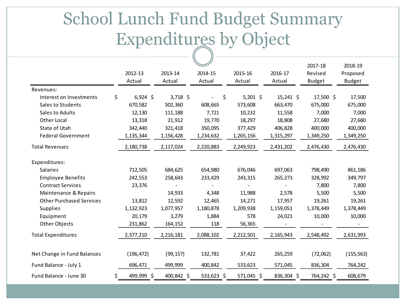#### School Lunch Fund Budget Summary Expenditures by Object

|                                 |                  |            |            |            |             | 2017-18       | 2018-19       |
|---------------------------------|------------------|------------|------------|------------|-------------|---------------|---------------|
|                                 | 2012-13          | 2013-14    | 2014-15    | 2015-16    | 2016-17     | Revised       | Proposed      |
|                                 | Actual           | Actual     | Actual     | Actual     | Actual      | <b>Budget</b> | <b>Budget</b> |
| Revenues:                       |                  |            |            |            |             |               |               |
| Interest on Investments         | \$<br>$6,924$ \$ | $3,718$ \$ | \$         | $5,201$ \$ | $15,241$ \$ | $17,500$ \$   | 17,500        |
| Sales to Students               | 670,582          | 502,360    | 608,665    | 573,608    | 663,470     | 675,000       | 675,000       |
| Sales to Adults                 | 12,130           | 111,188    | 7,721      | 10,232     | 11,558      | 7,000         | 7,000         |
| <b>Other Local</b>              | 13,318           | 21,912     | 19,770     | 18,297     | 18,808      | 27,680        | 27,680        |
| State of Utah                   | 342,440          | 321,418    | 350,095    | 377,429    | 406,828     | 400,000       | 400,000       |
| <b>Federal Government</b>       | 1,135,344        | 1,156,428  | 1,234,632  | 1,265,156  | 1,315,297   | 1,349,250     | 1,349,250     |
| <b>Total Revenues</b>           | 2,180,738        | 2,117,024  | 2,220,883  | 2,249,923  | 2,431,202   | 2,476,430     | 2,476,430     |
| Expenditures:                   |                  |            |            |            |             |               |               |
| Salaries                        | 712,505          | 684,625    | 654,980    | 676,046    | 697,063     | 798,490       | 861,186       |
| <b>Employee Benefits</b>        | 242,553          | 258,643    | 233,429    | 243,315    | 265,273     | 328,992       | 349,797       |
| <b>Contract Services</b>        | 23,376           |            |            |            |             | 7,800         | 7,800         |
| Maintenance & Repairs           |                  | 14,933     | 4,348      | 11,988     | 2,578       | 5,500         | 5,500         |
| <b>Other Purchased Services</b> | 13,812           | 12,592     | 12,465     | 14,271     | 17,957      | 19,261        | 19,261        |
| Supplies                        | 1,132,923        | 1,077,957  | 1,180,878  | 1,209,938  | 1,159,051   | 1,378,449     | 1,378,449     |
| Equipment                       | 20,179           | 3,279      | 1,884      | 578        | 24,021      | 10,000        | 10,000        |
| Other Objects                   | 231,862          | 164,152    | 118        | 56,365     |             |               |               |
| <b>Total Expenditures</b>       | 2,377,210        | 2,216,181  | 2,088,102  | 2,212,501  | 2,165,943   | 2,548,492     | 2,631,993     |
| Net Change in Fund Balances     | (196, 472)       | (99, 157)  | 132,781    | 37,422     | 265,259     | (72,062)      | (155, 563)    |
| Fund Balance - July 1           | 696,471          | 499,999    | 400,842    | 533,623    | 571,045     | 836,304       | 764,242       |
| Fund Balance - June 30          | \$<br>499,999 \$ | 400,842 \$ | 533,623 \$ | 571,045 \$ | 836,304 \$  | 764,242 \$    | 608,679       |